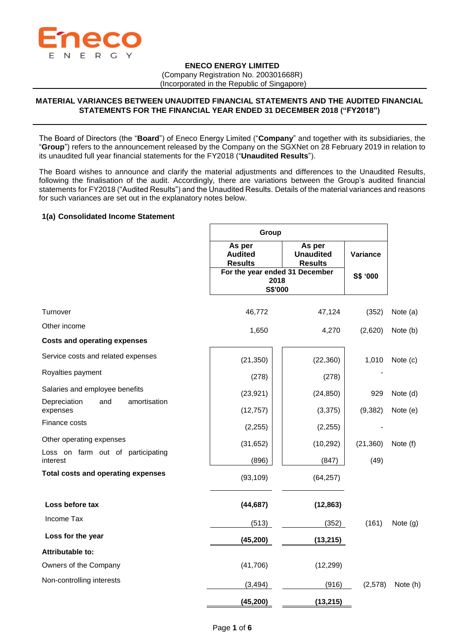

### **ENECO ENERGY LIMITED**

(Company Registration No. 200301668R)

(Incorporated in the Republic of Singapore)

# **MATERIAL VARIANCES BETWEEN UNAUDITED FINANCIAL STATEMENTS AND THE AUDITED FINANCIAL STATEMENTS FOR THE FINANCIAL YEAR ENDED 31 DECEMBER 2018 ("FY2018")**

The Board of Directors (the "**Board**") of Eneco Energy Limited ("**Company**" and together with its subsidiaries, the "**Group**") refers to the announcement released by the Company on the SGXNet on 28 February 2019 in relation to its unaudited full year financial statements for the FY2018 ("**Unaudited Results**").

The Board wishes to announce and clarify the material adjustments and differences to the Unaudited Results, following the finalisation of the audit. Accordingly, there are variations between the Group's audited financial statements for FY2018 ("Audited Results") and the Unaudited Results. Details of the material variances and reasons for such variances are set out in the explanatory notes below.

## **1(a) Consolidated Income Statement**

|                                                 |                                            | Group                                                    |           |            |  |  |
|-------------------------------------------------|--------------------------------------------|----------------------------------------------------------|-----------|------------|--|--|
|                                                 | As per<br><b>Audited</b><br><b>Results</b> | As per<br><b>Unaudited</b><br><b>Results</b>             | Variance  |            |  |  |
|                                                 |                                            | For the year ended 31 December<br>2018<br><b>S\$'000</b> |           |            |  |  |
| Turnover                                        | 46,772                                     | 47,124                                                   | (352)     | Note (a)   |  |  |
| Other income                                    | 1,650                                      | 4,270                                                    | (2,620)   | Note (b)   |  |  |
| <b>Costs and operating expenses</b>             |                                            |                                                          |           |            |  |  |
| Service costs and related expenses              | (21, 350)                                  | (22, 360)                                                | 1,010     | Note (c)   |  |  |
| Royalties payment                               | (278)                                      | (278)                                                    |           |            |  |  |
| Salaries and employee benefits                  | (23, 921)                                  | (24, 850)                                                | 929       | Note (d)   |  |  |
| amortisation<br>Depreciation<br>and<br>expenses | (12, 757)                                  | (3,375)                                                  | (9, 382)  | Note (e)   |  |  |
| Finance costs                                   | (2, 255)                                   | (2, 255)                                                 |           |            |  |  |
| Other operating expenses                        | (31, 652)                                  | (10, 292)                                                | (21, 360) | Note (f)   |  |  |
| Loss on farm out of participating<br>interest   | (896)                                      | (847)                                                    | (49)      |            |  |  |
| <b>Total costs and operating expenses</b>       | (93, 109)                                  | (64, 257)                                                |           |            |  |  |
| Loss before tax                                 | (44, 687)                                  | (12, 863)                                                |           |            |  |  |
| Income Tax                                      | (513)                                      | (352)                                                    | (161)     | Note $(g)$ |  |  |
| Loss for the year                               | (45, 200)                                  | (13, 215)                                                |           |            |  |  |
| Attributable to:                                |                                            |                                                          |           |            |  |  |
| Owners of the Company                           | (41, 706)                                  | (12, 299)                                                |           |            |  |  |
| Non-controlling interests                       | (3, 494)                                   | (916)                                                    | (2,578)   | Note (h)   |  |  |
|                                                 | (45, 200)                                  | (13, 215)                                                |           |            |  |  |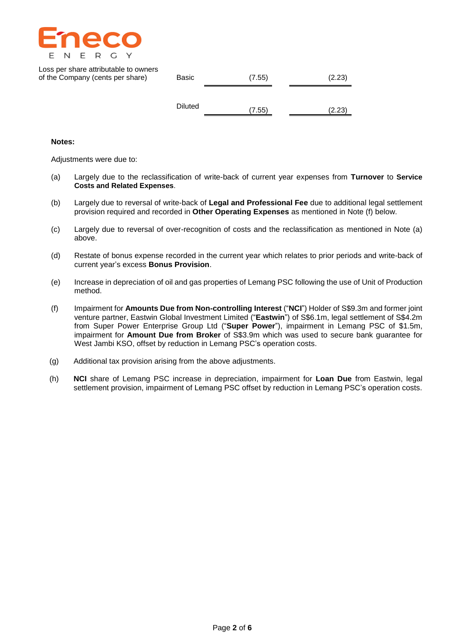

| Loss per share attributable to owners<br>of the Company (cents per share) | Basic          | (7.55) | (2.23) |  |  |
|---------------------------------------------------------------------------|----------------|--------|--------|--|--|
|                                                                           | <b>Diluted</b> |        |        |  |  |
|                                                                           |                | (7.55) | (2.23) |  |  |

### **Notes:**

Adjustments were due to:

- (a) Largely due to the reclassification of write-back of current year expenses from **Turnover** to **Service Costs and Related Expenses**.
- (b) Largely due to reversal of write-back of **Legal and Professional Fee** due to additional legal settlement provision required and recorded in **Other Operating Expenses** as mentioned in Note (f) below.
- (c) Largely due to reversal of over-recognition of costs and the reclassification as mentioned in Note (a) above.
- (d) Restate of bonus expense recorded in the current year which relates to prior periods and write-back of current year's excess **Bonus Provision**.
- (e) Increase in depreciation of oil and gas properties of Lemang PSC following the use of Unit of Production method.
- (f) Impairment for **Amounts Due from Non-controlling Interest** ("**NCI**") Holder of S\$9.3m and former joint venture partner, Eastwin Global Investment Limited ("**Eastwin**") of S\$6.1m, legal settlement of S\$4.2m from Super Power Enterprise Group Ltd ("**Super Power**"), impairment in Lemang PSC of \$1.5m, impairment for **Amount Due from Broker** of S\$3.9m which was used to secure bank guarantee for West Jambi KSO, offset by reduction in Lemang PSC's operation costs.
- (g) Additional tax provision arising from the above adjustments.
- (h) **NCI** share of Lemang PSC increase in depreciation, impairment for **Loan Due** from Eastwin, legal settlement provision, impairment of Lemang PSC offset by reduction in Lemang PSC's operation costs.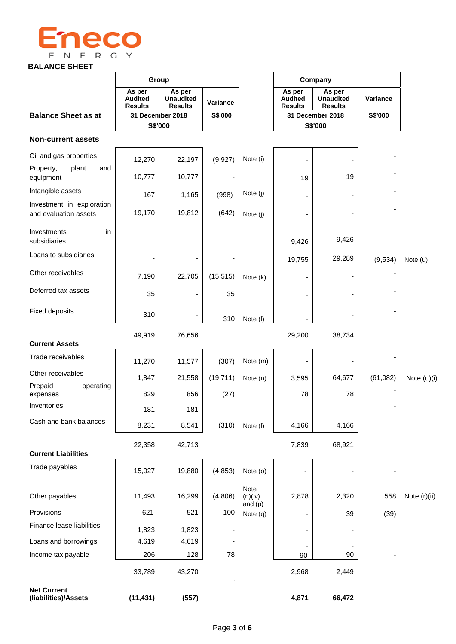

# **BALANCE SHEET**

|                                                    | Group                                      |                                              |                |                                    |                                            | Company                                      |          |              |
|----------------------------------------------------|--------------------------------------------|----------------------------------------------|----------------|------------------------------------|--------------------------------------------|----------------------------------------------|----------|--------------|
|                                                    | As per<br><b>Audited</b><br><b>Results</b> | As per<br><b>Unaudited</b><br><b>Results</b> | Variance       |                                    | As per<br><b>Audited</b><br><b>Results</b> | As per<br><b>Unaudited</b><br><b>Results</b> | Variance |              |
| <b>Balance Sheet as at</b>                         | 31 December 2018<br>S\$'000                |                                              | <b>S\$'000</b> | 31 December 2018<br><b>S\$'000</b> |                                            | S\$'000                                      |          |              |
| <b>Non-current assets</b>                          |                                            |                                              |                |                                    |                                            |                                              |          |              |
| Oil and gas properties                             | 12,270                                     | 22,197                                       | (9,927)        | Note (i)                           |                                            |                                              |          |              |
| Property,<br>plant<br>and<br>equipment             | 10,777                                     | 10,777                                       |                |                                    | 19                                         | 19                                           |          |              |
| Intangible assets                                  | 167                                        | 1,165                                        | (998)          | Note (j)                           |                                            |                                              |          |              |
| Investment in exploration<br>and evaluation assets | 19,170                                     | 19,812                                       | (642)          | Note (j)                           |                                            |                                              |          |              |
| Investments<br>in<br>subsidiaries                  |                                            |                                              |                |                                    | 9,426                                      | 9,426                                        |          |              |
| Loans to subsidiaries                              |                                            |                                              |                |                                    | 19,755                                     | 29,289                                       | (9,534)  | Note (u)     |
| Other receivables                                  | 7,190                                      | 22,705                                       | (15, 515)      | Note (k)                           |                                            |                                              |          |              |
| Deferred tax assets                                | 35                                         |                                              | 35             |                                    |                                            |                                              |          |              |
| <b>Fixed deposits</b>                              | 310                                        |                                              | 310            | Note (I)                           |                                            |                                              |          |              |
|                                                    | 49,919                                     | 76,656                                       |                |                                    | 29,200                                     | 38,734                                       |          |              |
| <b>Current Assets</b>                              |                                            |                                              |                |                                    |                                            |                                              |          |              |
| Trade receivables                                  | 11,270                                     | 11,577                                       | (307)          | Note (m)                           |                                            |                                              |          |              |
| Other receivables                                  | 1,847                                      | 21,558                                       | (19, 711)      | Note (n)                           | 3,595                                      | 64,677                                       | (61,082) | Note (u)(i)  |
| Prepaid<br>operating<br>expenses                   | 829                                        | 856                                          | (27)           |                                    | 78                                         | 78                                           |          |              |
| Inventories                                        | 181                                        | 181                                          |                |                                    |                                            |                                              |          |              |
| Cash and bank balances                             | 8,231                                      | 8,541                                        | (310)          | Note (I)                           | 4,166                                      | 4,166                                        |          |              |
|                                                    | 22,358                                     | 42,713                                       |                |                                    | 7,839                                      | 68,921                                       |          |              |
| <b>Current Liabilities</b>                         |                                            |                                              |                |                                    |                                            |                                              |          |              |
| Trade payables                                     | 15,027                                     | 19,880                                       | (4, 853)       | Note (o)                           |                                            |                                              |          |              |
| Other payables                                     | 11,493                                     | 16,299                                       | (4,806)        | Note<br>(n)(iv)                    | 2,878                                      | 2,320                                        | 558      | Note (r)(ii) |
| Provisions                                         | 621                                        | 521                                          | 100            | and $(p)$<br>Note (q)              |                                            | 39                                           | (39)     |              |
| Finance lease liabilities                          | 1,823                                      | 1,823                                        |                |                                    |                                            |                                              |          |              |
| Loans and borrowings                               | 4,619                                      | 4,619                                        |                |                                    |                                            | -                                            |          |              |
| Income tax payable                                 | 206                                        | 128                                          | 78             |                                    | 90                                         | 90                                           |          |              |
|                                                    | 33,789                                     | 43,270                                       |                |                                    | 2,968                                      | 2,449                                        |          |              |
| <b>Net Current</b><br>(liabilities)/Assets         | (11, 431)                                  | (557)                                        |                |                                    | 4,871                                      | 66,472                                       |          |              |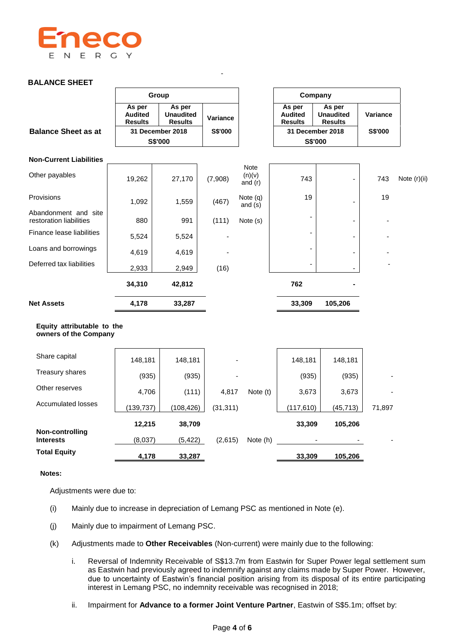

# **BALANCE SHEET**

|                                                     | Group                                      |                                              |           |                                    | Company                                    |                                              |          |              |
|-----------------------------------------------------|--------------------------------------------|----------------------------------------------|-----------|------------------------------------|--------------------------------------------|----------------------------------------------|----------|--------------|
|                                                     | As per<br><b>Audited</b><br><b>Results</b> | As per<br><b>Unaudited</b><br><b>Results</b> | Variance  |                                    | As per<br><b>Audited</b><br><b>Results</b> | As per<br><b>Unaudited</b><br><b>Results</b> | Variance |              |
| <b>Balance Sheet as at</b>                          |                                            | 31 December 2018                             | S\$'000   |                                    |                                            | 31 December 2018                             | S\$'000  |              |
|                                                     |                                            | S\$'000                                      |           |                                    |                                            | S\$'000                                      |          |              |
| <b>Non-Current Liabilities</b>                      |                                            |                                              |           |                                    |                                            |                                              |          |              |
| Other payables                                      | 19,262                                     | 27,170                                       | (7,908)   | <b>Note</b><br>(n)(v)<br>and $(r)$ | 743                                        |                                              | 743      | Note (r)(ii) |
| Provisions                                          | 1,092                                      | 1,559                                        | (467)     | Note (q)<br>and $(s)$              | 19                                         |                                              | 19       |              |
| Abandonment and site<br>restoration liabilities     | 880                                        | 991                                          | (111)     | Note (s)                           |                                            |                                              |          |              |
| Finance lease liabilities                           | 5,524                                      | 5,524                                        |           |                                    |                                            |                                              |          |              |
| Loans and borrowings                                | 4,619                                      | 4,619                                        |           |                                    |                                            |                                              |          |              |
| Deferred tax liabilities                            | 2,933                                      | 2,949                                        | (16)      |                                    |                                            |                                              |          |              |
|                                                     | 34,310                                     | 42,812                                       |           |                                    | 762                                        |                                              |          |              |
| <b>Net Assets</b>                                   | 4,178                                      | 33,287                                       |           |                                    | 33,309                                     | 105,206                                      |          |              |
| Equity attributable to the<br>owners of the Company |                                            |                                              |           |                                    |                                            |                                              |          |              |
| Share capital                                       | 148,181                                    | 148,181                                      |           |                                    | 148,181                                    | 148,181                                      |          |              |
| Treasury shares                                     | (935)                                      | (935)                                        |           |                                    | (935)                                      | (935)                                        |          |              |
| Other reserves                                      | 4,706                                      | (111)                                        | 4,817     | Note (t)                           | 3,673                                      | 3,673                                        |          |              |
| <b>Accumulated losses</b>                           | (139, 737)                                 | (108, 426)                                   | (31, 311) |                                    | (117, 610)                                 | (45, 713)                                    | 71,897   |              |
| Non-controlling                                     | 12,215                                     | 38,709                                       |           |                                    | 33,309                                     | 105,206                                      |          |              |
| <b>Interests</b>                                    | (8,037)                                    | (5, 422)                                     | (2,615)   | Note (h)                           | <b>Contract Contract</b>                   |                                              |          |              |
| <b>Total Equity</b>                                 | 4,178                                      | 33,287                                       |           |                                    | 33,309                                     | 105,206                                      |          |              |

-

### **Notes:**

Adjustments were due to:

- (i) Mainly due to increase in depreciation of Lemang PSC as mentioned in Note (e).
- (j) Mainly due to impairment of Lemang PSC.
- (k) Adjustments made to **Other Receivables** (Non-current) were mainly due to the following:
	- i. Reversal of Indemnity Receivable of S\$13.7m from Eastwin for Super Power legal settlement sum as Eastwin had previously agreed to indemnify against any claims made by Super Power. However, due to uncertainty of Eastwin's financial position arising from its disposal of its entire participating interest in Lemang PSC, no indemnity receivable was recognised in 2018;
	- ii. Impairment for **Advance to a former Joint Venture Partner**, Eastwin of S\$5.1m; offset by: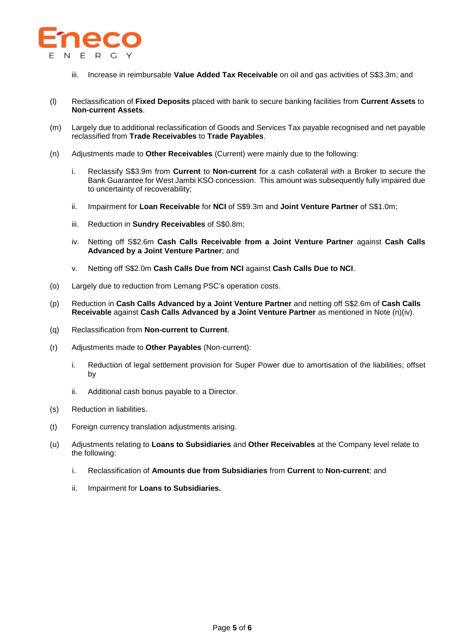

- iii. Increase in reimbursable **Value Added Tax Receivable** on oil and gas activities of S\$3.3m; and
- (l) Reclassification of **Fixed Deposits** placed with bank to secure banking facilities from **Current Assets** to **Non-current Assets**.
- (m) Largely due to additional reclassification of Goods and Services Tax payable recognised and net payable reclassified from **Trade Receivables** to **Trade Payables**.
- (n) Adjustments made to **Other Receivables** (Current) were mainly due to the following:
	- i. Reclassify S\$3.9m from **Current** to **Non-current** for a cash collateral with a Broker to secure the Bank Guarantee for West Jambi KSO concession. This amount was subsequently fully impaired due to uncertainty of recoverability;
	- ii. Impairment for **Loan Receivable** for **NCI** of S\$9.3m and **Joint Venture Partner** of S\$1.0m;
	- iii. Reduction in **Sundry Receivables** of S\$0.8m;
	- iv. Netting off S\$2.6m **Cash Calls Receivable from a Joint Venture Partner** against **Cash Calls Advanced by a Joint Venture Partner**; and
	- v. Netting off S\$2.0m **Cash Calls Due from NCI** against **Cash Calls Due to NCI**.
- (o) Largely due to reduction from Lemang PSC's operation costs.
- (p) Reduction in **Cash Calls Advanced by a Joint Venture Partner** and netting off S\$2.6m of **Cash Calls Receivable** against **Cash Calls Advanced by a Joint Venture Partner** as mentioned in Note (n)(iv).
- (q) Reclassification from **Non-current to Current**.
- (r) Adjustments made to **Other Payables** (Non-current):
	- i. Reduction of legal settlement provision for Super Power due to amortisation of the liabilities; offset by
	- ii. Additional cash bonus payable to a Director.
- (s) Reduction in liabilities.
- (t) Foreign currency translation adjustments arising.
- (u) Adjustments relating to **Loans to Subsidiaries** and **Other Receivables** at the Company level relate to the following:
	- i. Reclassification of **Amounts due from Subsidiaries** from **Current** to **Non-current**; and
	- ii. Impairment for **Loans to Subsidiaries.**